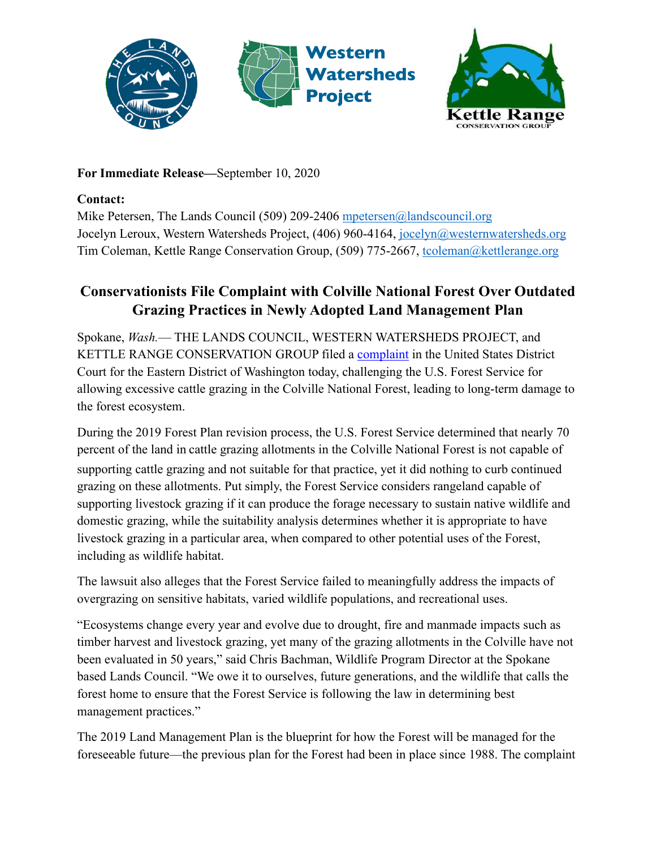



## **For Immediate Release—**September 10, 2020

## **Contact:**

Mike Petersen, The Lands Council (509) 209-2406 [mpetersen@landscouncil.org](mailto:mpetersen@landscouncil.org) Jocelyn Leroux, Western Watersheds Project, (406) 960-4164, [jocelyn@westernwatersheds.org](mailto:jocelyn@westernwatersheds.org) Tim Coleman, Kettle Range Conservation Group, (509) 775-2667, [tcoleman@kettlerange.org](mailto:tcoleman@kettlerange.org)

## **Conservationists File Complaint with Colville National Forest Over Outdated Grazing Practices in Newly Adopted Land Management Plan**

Spokane, *Wash.*— THE LANDS COUNCIL, WESTERN WATERSHEDS PROJECT, and KETTLE RANGE CONSERVATION GROUP filed a [complaint](https://animalearthadvocates.box.com/s/5j75hk2xzskkk344ojyqnie0305nbc0t) in the United States District Court for the Eastern District of Washington today, challenging the U.S. Forest Service for allowing excessive cattle grazing in the Colville National Forest, leading to long-term damage to the forest ecosystem.

During the 2019 Forest Plan revision process, the U.S. Forest Service determined that nearly 70 percent of the land in cattle grazing allotments in the Colville National Forest is not capable of supporting cattle grazing and not suitable for that practice, yet it did nothing to curb continued grazing on these allotments. Put simply, the Forest Service considers rangeland capable of supporting livestock grazing if it can produce the forage necessary to sustain native wildlife and domestic grazing, while the suitability analysis determines whether it is appropriate to have livestock grazing in a particular area, when compared to other potential uses of the Forest, including as wildlife habitat.

The lawsuit also alleges that the Forest Service failed to meaningfully address the impacts of overgrazing on sensitive habitats, varied wildlife populations, and recreational uses.

"Ecosystems change every year and evolve due to drought, fire and manmade impacts such as timber harvest and livestock grazing, yet many of the grazing allotments in the Colville have not been evaluated in 50 years," said Chris Bachman, Wildlife Program Director at the Spokane based Lands Council. "We owe it to ourselves, future generations, and the wildlife that calls the forest home to ensure that the Forest Service is following the law in determining best management practices."

The 2019 Land Management Plan is the blueprint for how the Forest will be managed for the foreseeable future—the previous plan for the Forest had been in place since 1988. The complaint